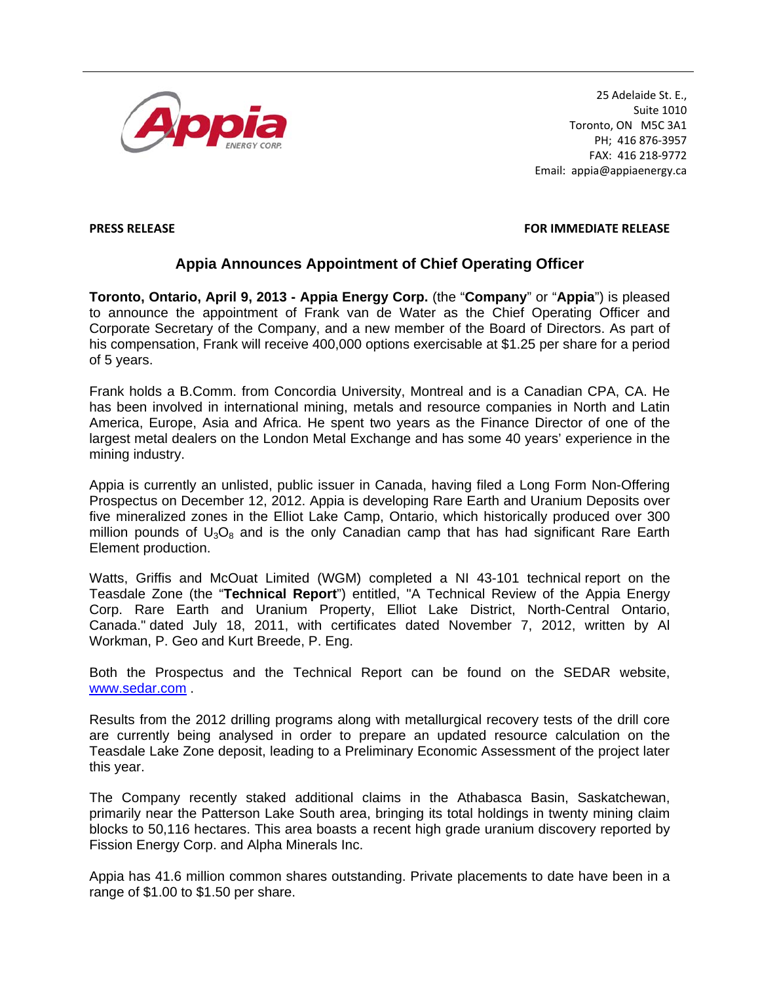

25 Adelaide St. E., Suite 1010 Toronto, ON M5C 3A1 PH; 416 876‐3957 FAX: 416 218‐9772 Email: appia@appiaenergy.ca

## **PRESS RELEASE FOR IMMEDIATE RELEASE**

## **Appia Announces Appointment of Chief Operating Officer**

**Toronto, Ontario, April 9, 2013 - Appia Energy Corp.** (the "**Company**" or "**Appia**") is pleased to announce the appointment of Frank van de Water as the Chief Operating Officer and Corporate Secretary of the Company, and a new member of the Board of Directors. As part of his compensation, Frank will receive 400,000 options exercisable at \$1.25 per share for a period of 5 years.

Frank holds a B.Comm. from Concordia University, Montreal and is a Canadian CPA, CA. He has been involved in international mining, metals and resource companies in North and Latin America, Europe, Asia and Africa. He spent two years as the Finance Director of one of the largest metal dealers on the London Metal Exchange and has some 40 years' experience in the mining industry.

Appia is currently an unlisted, public issuer in Canada, having filed a Long Form Non-Offering Prospectus on December 12, 2012. Appia is developing Rare Earth and Uranium Deposits over five mineralized zones in the Elliot Lake Camp, Ontario, which historically produced over 300 million pounds of  $U_3O_8$  and is the only Canadian camp that has had significant Rare Earth Element production.

Watts, Griffis and McOuat Limited (WGM) completed a NI 43-101 technical report on the Teasdale Zone (the "**Technical Report**") entitled, "A Technical Review of the Appia Energy Corp. Rare Earth and Uranium Property, Elliot Lake District, North-Central Ontario, Canada." dated July 18, 2011, with certificates dated November 7, 2012, written by Al Workman, P. Geo and Kurt Breede, P. Eng.

Both the Prospectus and the Technical Report can be found on the SEDAR website, www.sedar.com .

Results from the 2012 drilling programs along with metallurgical recovery tests of the drill core are currently being analysed in order to prepare an updated resource calculation on the Teasdale Lake Zone deposit, leading to a Preliminary Economic Assessment of the project later this year.

The Company recently staked additional claims in the Athabasca Basin, Saskatchewan, primarily near the Patterson Lake South area, bringing its total holdings in twenty mining claim blocks to 50,116 hectares. This area boasts a recent high grade uranium discovery reported by Fission Energy Corp. and Alpha Minerals Inc.

Appia has 41.6 million common shares outstanding. Private placements to date have been in a range of \$1.00 to \$1.50 per share.